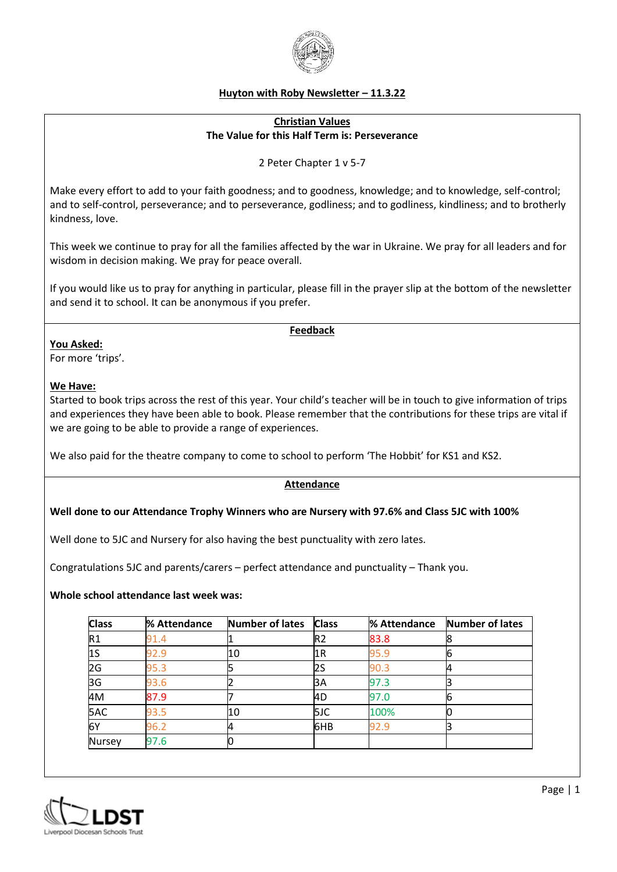

## **Huyton with Roby Newsletter – 11.3.22**

## **Christian Values The Value for this Half Term is: Perseverance**

2 Peter Chapter 1 v 5-7

Make every effort to add to your faith goodness; and to goodness, knowledge; and to knowledge, self-control; and to self-control, perseverance; and to perseverance, godliness; and to godliness, kindliness; and to brotherly kindness, love.

This week we continue to pray for all the families affected by the war in Ukraine. We pray for all leaders and for wisdom in decision making. We pray for peace overall.

If you would like us to pray for anything in particular, please fill in the prayer slip at the bottom of the newsletter and send it to school. It can be anonymous if you prefer.

### **Feedback**

**You Asked:**

For more 'trips'.

## **We Have:**

Started to book trips across the rest of this year. Your child's teacher will be in touch to give information of trips and experiences they have been able to book. Please remember that the contributions for these trips are vital if we are going to be able to provide a range of experiences.

We also paid for the theatre company to come to school to perform 'The Hobbit' for KS1 and KS2.

## **Attendance**

### **Well done to our Attendance Trophy Winners who are Nursery with 97.6% and Class 5JC with 100%**

Well done to 5JC and Nursery for also having the best punctuality with zero lates.

Congratulations 5JC and parents/carers – perfect attendance and punctuality – Thank you.

### **Whole school attendance last week was:**

| <b>Class</b>  | % Attendance | <b>Number of lates</b> | <b>Class</b>   | % Attendance | Number of lates |
|---------------|--------------|------------------------|----------------|--------------|-----------------|
| R1            | 91.4         |                        | R <sub>2</sub> | 83.8         |                 |
| 1S            | 92.9         | 10                     | 1R             | 95.9         |                 |
| 2G            | 95.3         |                        | 2S             | 90.3         | 4               |
| 3G            | 93.6         |                        | 3A             | 97.3         |                 |
| 4M            | 87.9         |                        | l4D            | 97.0         |                 |
| 5AC           | 93.5         | 10                     | 5JC            | 100%         |                 |
| 6Y            | 96.2         | 4                      | 6HB            | 92.9         |                 |
| <b>Nursey</b> | 97.6         | U                      |                |              |                 |

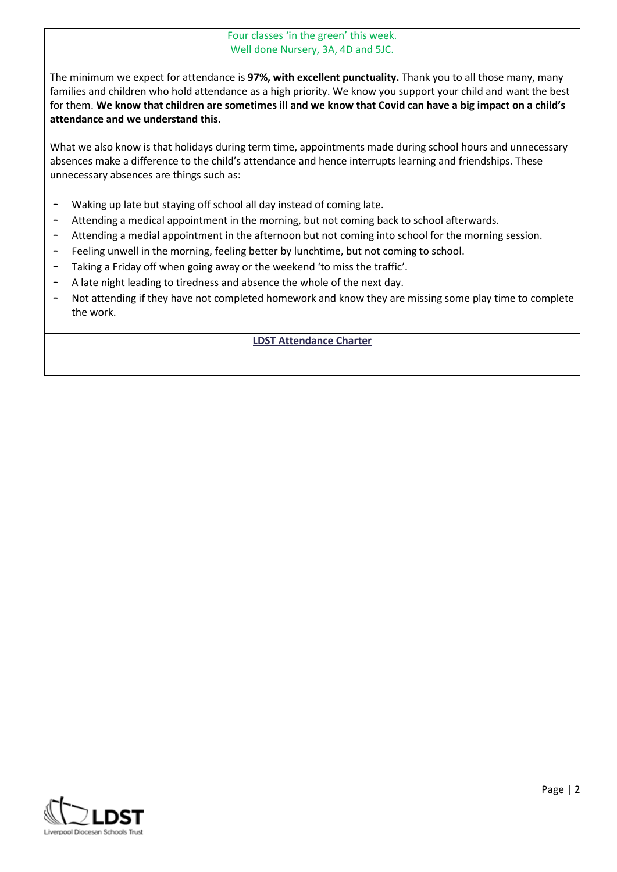## Four classes 'in the green' this week. Well done Nursery, 3A, 4D and 5JC.

The minimum we expect for attendance is **97%, with excellent punctuality.** Thank you to all those many, many families and children who hold attendance as a high priority. We know you support your child and want the best for them. **We know that children are sometimes ill and we know that Covid can have a big impact on a child's attendance and we understand this.**

What we also know is that holidays during term time, appointments made during school hours and unnecessary absences make a difference to the child's attendance and hence interrupts learning and friendships. These unnecessary absences are things such as:

- Waking up late but staying off school all day instead of coming late.
- Attending a medical appointment in the morning, but not coming back to school afterwards.
- Attending a medial appointment in the afternoon but not coming into school for the morning session.
- Feeling unwell in the morning, feeling better by lunchtime, but not coming to school.
- Taking a Friday off when going away or the weekend 'to miss the traffic'.
- A late night leading to tiredness and absence the whole of the next day.
- Not attending if they have not completed homework and know they are missing some play time to complete the work.

## **LDST Attendance Charter**

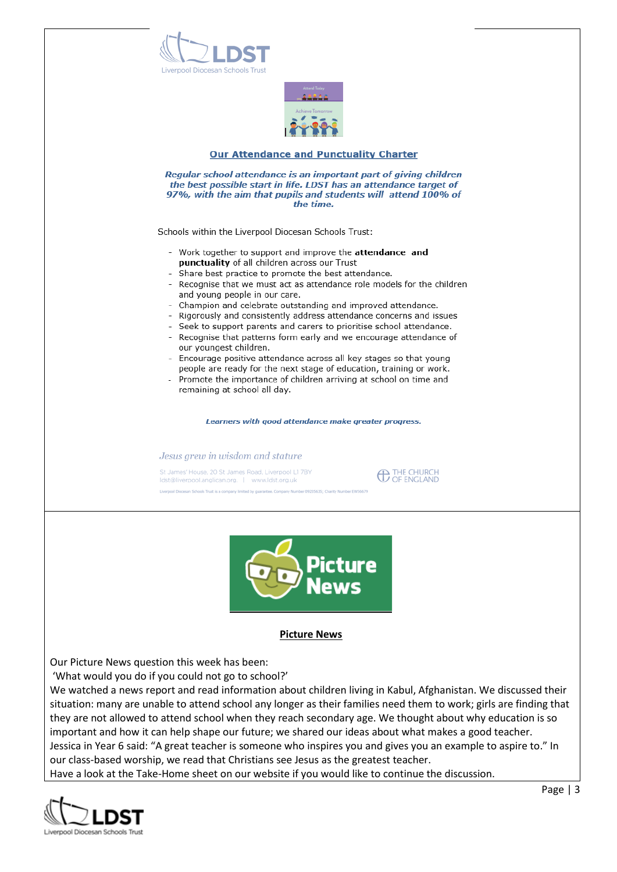



#### **Our Attendance and Punctuality Charter**

Regular school attendance is an important part of giving children the best possible start in life. LDST has an attendance target of 97%, with the aim that pupils and students will attend 100% of the time.

Schools within the Liverpool Diocesan Schools Trust:

- Work together to support and improve the attendance and punctuality of all children across our Trust
- Share best practice to promote the best attendance.
- Recognise that we must act as attendance role models for the children and young people in our care.
- Champion and celebrate outstanding and improved attendance.
- Rigorously and consistently address attendance concerns and issues
- Seek to support parents and carers to prioritise school attendance.
- Recognise that patterns form early and we encourage attendance of our youngest children.
- Encourage positive attendance across all key stages so that young people are ready for the next stage of education, training or work.
- Promote the importance of children arriving at school on time and remaining at school all day.

Learners with good attendance make greater progress.

#### Jesus grew in wisdom and stature

St James' House, 20 St James Road, Liverpool L1 7BY ldst@liverpool.anglican.org. | www.ldst.org.uk

**CO THE CHURCH**<br>OF ENGLAND



#### **Picture News**

Our Picture News question this week has been:

'What would you do if you could not go to school?'

We watched a news report and read information about children living in Kabul, Afghanistan. We discussed their situation: many are unable to attend school any longer as their families need them to work; girls are finding that they are not allowed to attend school when they reach secondary age. We thought about why education is so important and how it can help shape our future; we shared our ideas about what makes a good teacher. Jessica in Year 6 said: "A great teacher is someone who inspires you and gives you an example to aspire to." In our class-based worship, we read that Christians see Jesus as the greatest teacher.

Have a look at the Take-Home sheet on our website if you would like to continue the discussion.

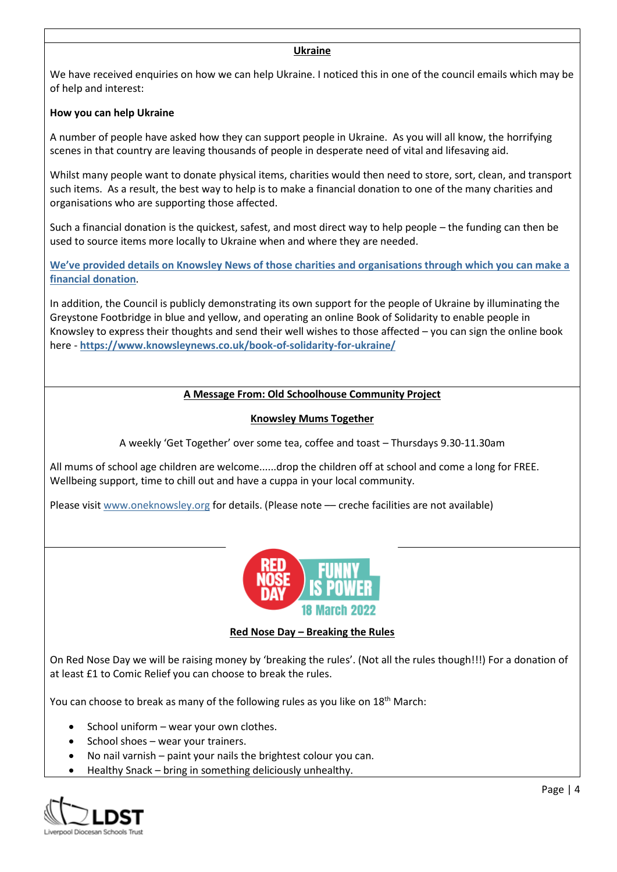### **Ukraine**

We have received enquiries on how we can help Ukraine. I noticed this in one of the council emails which may be of help and interest:

## **How you can help Ukraine**

A number of people have asked how they can support people in Ukraine. As you will all know, the horrifying scenes in that country are leaving thousands of people in desperate need of vital and lifesaving aid.

Whilst many people want to donate physical items, charities would then need to store, sort, clean, and transport such items. As a result, the best way to help is to make a financial donation to one of the many charities and organisations who are supporting those affected.

Such a financial donation is the quickest, safest, and most direct way to help people – the funding can then be used to source items more locally to Ukraine when and where they are needed.

**[We've provided details on Knowsley News of those charities and organisations through which you can make a](https://www.knowsleynews.co.uk/how-you-can-help-ukraine/)  financial [donation](https://www.knowsleynews.co.uk/how-you-can-help-ukraine/)**.

In addition, the Council is publicly demonstrating its own support for the people of Ukraine by illuminating the Greystone Footbridge in blue and yellow, and operating an online Book of Solidarity to enable people in Knowsley to express their thoughts and send their well wishes to those affected – you can sign the online book here - **<https://www.knowsleynews.co.uk/book-of-solidarity-for-ukraine/>**

## **A Message From: Old Schoolhouse Community Project**

## **Knowsley Mums Together**

A weekly 'Get Together' over some tea, coffee and toast – Thursdays 9.30-11.30am

All mums of school age children are welcome......drop the children off at school and come a long for FREE. Wellbeing support, time to chill out and have a cuppa in your local community.

Please visit [www.oneknowsley.org](http://www.oneknowsley.org/) for details. (Please note –– creche facilities are not available)



### **Red Nose Day – Breaking the Rules**

On Red Nose Day we will be raising money by 'breaking the rules'. (Not all the rules though!!!) For a donation of at least £1 to Comic Relief you can choose to break the rules.

You can choose to break as many of the following rules as you like on 18<sup>th</sup> March:

- School uniform wear your own clothes.
- School shoes wear your trainers.
- No nail varnish paint your nails the brightest colour you can.
- Healthy Snack bring in something deliciously unhealthy.

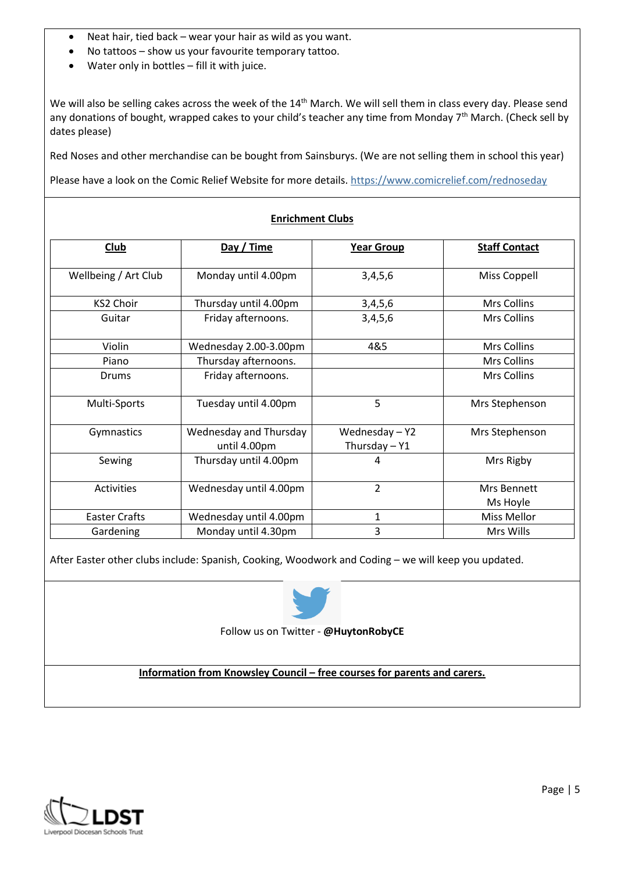- Neat hair, tied back wear your hair as wild as you want.
- No tattoos show us your favourite temporary tattoo.
- Water only in bottles fill it with juice.

We will also be selling cakes across the week of the 14<sup>th</sup> March. We will sell them in class every day. Please send any donations of bought, wrapped cakes to your child's teacher any time from Monday 7<sup>th</sup> March. (Check sell by dates please)

Red Noses and other merchandise can be bought from Sainsburys. (We are not selling them in school this year)

Please have a look on the Comic Relief Website for more details.<https://www.comicrelief.com/rednoseday>

| Club                 | Day / Time                             | <b>Year Group</b>             | <b>Staff Contact</b>    |
|----------------------|----------------------------------------|-------------------------------|-------------------------|
| Wellbeing / Art Club | Monday until 4.00pm                    | 3,4,5,6                       | Miss Coppell            |
| <b>KS2 Choir</b>     | Thursday until 4.00pm                  | 3,4,5,6                       | Mrs Collins             |
| Guitar               | Friday afternoons.                     | 3,4,5,6                       | <b>Mrs Collins</b>      |
| Violin               | Wednesday 2.00-3.00pm                  | 4&5                           | Mrs Collins             |
| Piano                | Thursday afternoons.                   |                               | Mrs Collins             |
| Drums                | Friday afternoons.                     |                               | Mrs Collins             |
| Multi-Sports         | Tuesday until 4.00pm                   | 5                             | Mrs Stephenson          |
| Gymnastics           | Wednesday and Thursday<br>until 4.00pm | Wednesday-Y2<br>Thursday - Y1 | Mrs Stephenson          |
| Sewing               | Thursday until 4.00pm                  | 4                             | Mrs Rigby               |
| Activities           | Wednesday until 4.00pm                 | $\overline{2}$                | Mrs Bennett<br>Ms Hoyle |
| <b>Easter Crafts</b> | Wednesday until 4.00pm                 | $\mathbf{1}$                  | Miss Mellor             |
| Gardening            | Monday until 4.30pm                    | 3                             | Mrs Wills               |

## **Enrichment Clubs**

After Easter other clubs include: Spanish, Cooking, Woodwork and Coding – we will keep you updated.



Follow us on Twitter - **@HuytonRobyCE**

**Information from Knowsley Council – free courses for parents and carers.** 

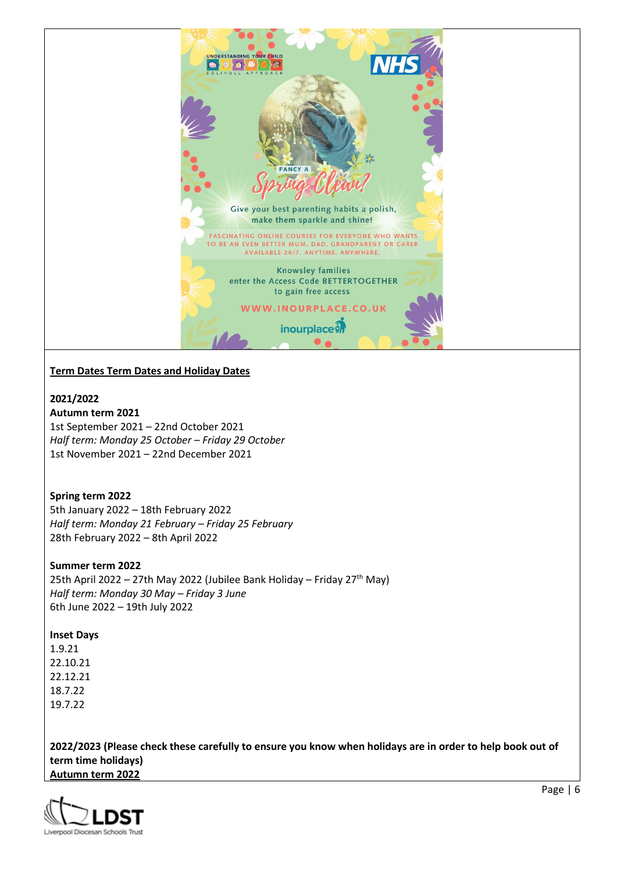

# **Term Dates Term Dates and Holiday Dates**

**2021/2022**

**Autumn term 2021** 1st September 2021 – 22nd October 2021 *Half term: Monday 25 October – Friday 29 October* 1st November 2021 – 22nd December 2021

## **Spring term 2022**

5th January 2022 – 18th February 2022 *Half term: Monday 21 February – Friday 25 February* 28th February 2022 – 8th April 2022

### **Summer term 2022**

25th April 2022 – 27th May 2022 (Jubilee Bank Holiday – Friday 27<sup>th</sup> May) *Half term: Monday 30 May – Friday 3 June* 6th June 2022 – 19th July 2022

### **Inset Days**

1.9.21 22.10.21 22.12.21 18.7.22 19.7.22

**2022/2023 (Please check these carefully to ensure you know when holidays are in order to help book out of term time holidays) Autumn term 2022**

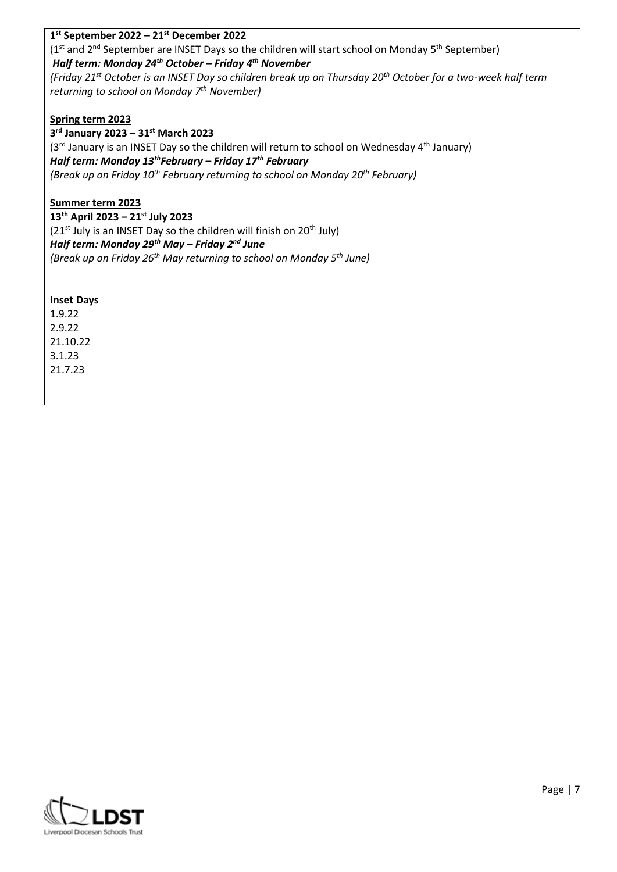## **1 st September 2022 – 21st December 2022**

(1<sup>st</sup> and 2<sup>nd</sup> September are INSET Days so the children will start school on Monday 5<sup>th</sup> September) *Half term: Monday 24th October – Friday 4th November* 

*(Friday 21st October is an INSET Day so children break up on Thursday 20th October for a two-week half term returning to school on Monday 7th November)* 

## **Spring term 2023**

**3 rd January 2023 – 31st March 2023**   $(3<sup>rd</sup>$  January is an INSET Day so the children will return to school on Wednesday 4<sup>th</sup> January) *Half term: Monday 13thFebruary – Friday 17th February (Break up on Friday 10th February returning to school on Monday 20th February)*

## **Summer term 2023**

**13th April 2023 – 21st July 2023**   $(21^{st}$  July is an INSET Day so the children will finish on  $20^{th}$  July) *Half term: Monday 29th May – Friday 2nd June (Break up on Friday 26th May returning to school on Monday 5th June)*

### **Inset Days**

1.9.22 2.9.22 21.10.22 3.1.23 21.7.23